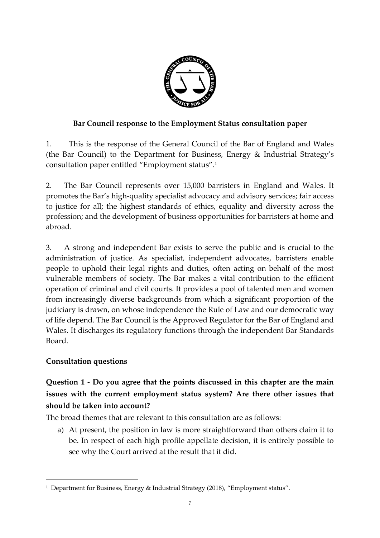

#### **Bar Council response to the Employment Status consultation paper**

1. This is the response of the General Council of the Bar of England and Wales (the Bar Council) to the Department for Business, Energy & Industrial Strategy's consultation paper entitled "Employment status". 1

2. The Bar Council represents over 15,000 barristers in England and Wales. It promotes the Bar's high-quality specialist advocacy and advisory services; fair access to justice for all; the highest standards of ethics, equality and diversity across the profession; and the development of business opportunities for barristers at home and abroad.

3. A strong and independent Bar exists to serve the public and is crucial to the administration of justice. As specialist, independent advocates, barristers enable people to uphold their legal rights and duties, often acting on behalf of the most vulnerable members of society. The Bar makes a vital contribution to the efficient operation of criminal and civil courts. It provides a pool of talented men and women from increasingly diverse backgrounds from which a significant proportion of the judiciary is drawn, on whose independence the Rule of Law and our democratic way of life depend. The Bar Council is the Approved Regulator for the Bar of England and Wales. It discharges its regulatory functions through the independent Bar Standards Board.

#### **Consultation questions**

 $\overline{a}$ 

# **Question 1 - Do you agree that the points discussed in this chapter are the main issues with the current employment status system? Are there other issues that should be taken into account?**

The broad themes that are relevant to this consultation are as follows:

a) At present, the position in law is more straightforward than others claim it to be. In respect of each high profile appellate decision, it is entirely possible to see why the Court arrived at the result that it did.

<sup>1</sup> Department for Business, Energy & Industrial Strategy (2018), "Employment status".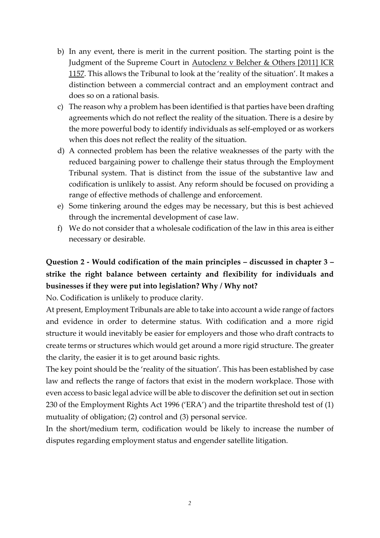- b) In any event, there is merit in the current position. The starting point is the Judgment of the Supreme Court in Autoclenz v Belcher & Others [2011] ICR 1157. This allows the Tribunal to look at the 'reality of the situation'. It makes a distinction between a commercial contract and an employment contract and does so on a rational basis.
- c) The reason why a problem has been identified is that parties have been drafting agreements which do not reflect the reality of the situation. There is a desire by the more powerful body to identify individuals as self-employed or as workers when this does not reflect the reality of the situation.
- d) A connected problem has been the relative weaknesses of the party with the reduced bargaining power to challenge their status through the Employment Tribunal system. That is distinct from the issue of the substantive law and codification is unlikely to assist. Any reform should be focused on providing a range of effective methods of challenge and enforcement.
- e) Some tinkering around the edges may be necessary, but this is best achieved through the incremental development of case law.
- f) We do not consider that a wholesale codification of the law in this area is either necessary or desirable.

# **Question 2 - Would codification of the main principles – discussed in chapter 3 – strike the right balance between certainty and flexibility for individuals and businesses if they were put into legislation? Why / Why not?**

No. Codification is unlikely to produce clarity.

At present, Employment Tribunals are able to take into account a wide range of factors and evidence in order to determine status. With codification and a more rigid structure it would inevitably be easier for employers and those who draft contracts to create terms or structures which would get around a more rigid structure. The greater the clarity, the easier it is to get around basic rights.

The key point should be the 'reality of the situation'. This has been established by case law and reflects the range of factors that exist in the modern workplace. Those with even access to basic legal advice will be able to discover the definition set out in section 230 of the Employment Rights Act 1996 ('ERA') and the tripartite threshold test of (1) mutuality of obligation; (2) control and (3) personal service.

In the short/medium term, codification would be likely to increase the number of disputes regarding employment status and engender satellite litigation.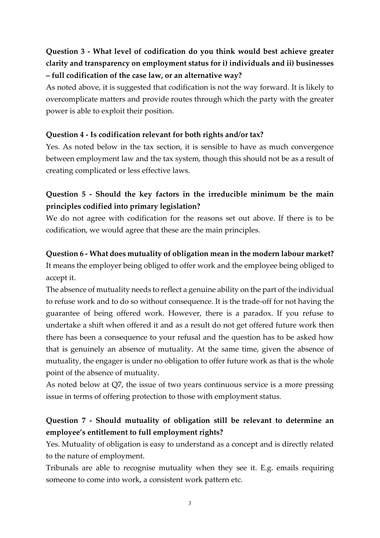# **Question 3 - What level of codification do you think would best achieve greater clarity and transparency on employment status for i) individuals and ii) businesses – full codification of the case law, or an alternative way?**

As noted above, it is suggested that codification is not the way forward. It is likely to overcomplicate matters and provide routes through which the party with the greater power is able to exploit their position.

#### **Question 4 - Is codification relevant for both rights and/or tax?**

Yes. As noted below in the tax section, it is sensible to have as much convergence between employment law and the tax system, though this should not be as a result of creating complicated or less effective laws.

#### **Question 5 - Should the key factors in the irreducible minimum be the main principles codified into primary legislation?**

We do not agree with codification for the reasons set out above. If there is to be codification, we would agree that these are the main principles.

#### **Question 6 - What does mutuality of obligation mean in the modern labour market?**

It means the employer being obliged to offer work and the employee being obliged to accept it.

The absence of mutuality needs to reflect a genuine ability on the part of the individual to refuse work and to do so without consequence. It is the trade-off for not having the guarantee of being offered work. However, there is a paradox. If you refuse to undertake a shift when offered it and as a result do not get offered future work then there has been a consequence to your refusal and the question has to be asked how that is genuinely an absence of mutuality. At the same time, given the absence of mutuality, the engager is under no obligation to offer future work as that is the whole point of the absence of mutuality.

As noted below at Q7, the issue of two years continuous service is a more pressing issue in terms of offering protection to those with employment status.

#### **Question 7 - Should mutuality of obligation still be relevant to determine an employee's entitlement to full employment rights?**

Yes. Mutuality of obligation is easy to understand as a concept and is directly related to the nature of employment.

Tribunals are able to recognise mutuality when they see it. E.g. emails requiring someone to come into work, a consistent work pattern etc.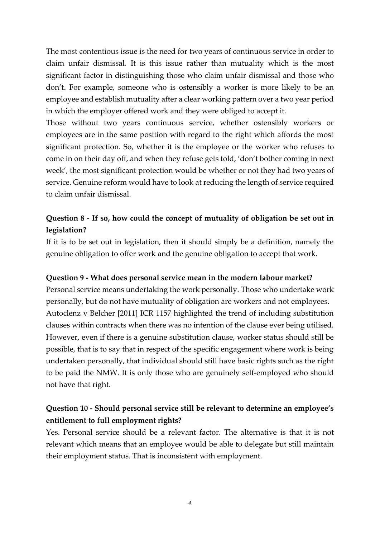The most contentious issue is the need for two years of continuous service in order to claim unfair dismissal. It is this issue rather than mutuality which is the most significant factor in distinguishing those who claim unfair dismissal and those who don't. For example, someone who is ostensibly a worker is more likely to be an employee and establish mutuality after a clear working pattern over a two year period in which the employer offered work and they were obliged to accept it.

Those without two years continuous service, whether ostensibly workers or employees are in the same position with regard to the right which affords the most significant protection. So, whether it is the employee or the worker who refuses to come in on their day off, and when they refuse gets told, 'don't bother coming in next week', the most significant protection would be whether or not they had two years of service. Genuine reform would have to look at reducing the length of service required to claim unfair dismissal.

#### **Question 8 - If so, how could the concept of mutuality of obligation be set out in legislation?**

If it is to be set out in legislation, then it should simply be a definition, namely the genuine obligation to offer work and the genuine obligation to accept that work.

#### **Question 9 - What does personal service mean in the modern labour market?**

Personal service means undertaking the work personally. Those who undertake work personally, but do not have mutuality of obligation are workers and not employees. Autoclenz v Belcher [2011] ICR 1157 highlighted the trend of including substitution clauses within contracts when there was no intention of the clause ever being utilised. However, even if there is a genuine substitution clause, worker status should still be possible, that is to say that in respect of the specific engagement where work is being undertaken personally, that individual should still have basic rights such as the right to be paid the NMW. It is only those who are genuinely self-employed who should not have that right.

#### **Question 10 - Should personal service still be relevant to determine an employee's entitlement to full employment rights?**

Yes. Personal service should be a relevant factor. The alternative is that it is not relevant which means that an employee would be able to delegate but still maintain their employment status. That is inconsistent with employment.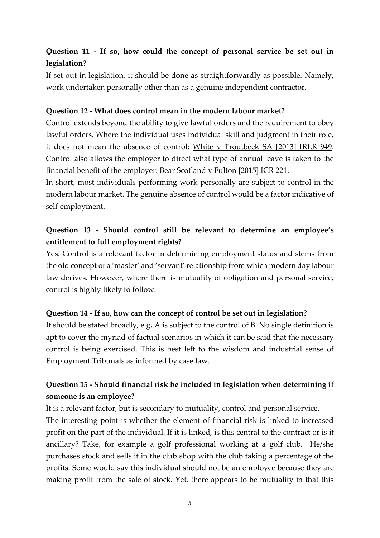#### **Question 11 - If so, how could the concept of personal service be set out in legislation?**

If set out in legislation, it should be done as straightforwardly as possible. Namely, work undertaken personally other than as a genuine independent contractor.

#### **Question 12 - What does control mean in the modern labour market?**

Control extends beyond the ability to give lawful orders and the requirement to obey lawful orders. Where the individual uses individual skill and judgment in their role, it does not mean the absence of control: White v Troutbeck SA [2013] IRLR 949. Control also allows the employer to direct what type of annual leave is taken to the financial benefit of the employer: Bear Scotland v Fulton [2015] ICR 221.

In short, most individuals performing work personally are subject to control in the modern labour market. The genuine absence of control would be a factor indicative of self-employment.

## **Question 13 - Should control still be relevant to determine an employee's entitlement to full employment rights?**

Yes. Control is a relevant factor in determining employment status and stems from the old concept of a 'master' and 'servant' relationship from which modern day labour law derives. However, where there is mutuality of obligation and personal service, control is highly likely to follow.

#### **Question 14 - If so, how can the concept of control be set out in legislation?**

It should be stated broadly, e.g**.** A is subject to the control of B. No single definition is apt to cover the myriad of factual scenarios in which it can be said that the necessary control is being exercised. This is best left to the wisdom and industrial sense of Employment Tribunals as informed by case law.

#### **Question 15 - Should financial risk be included in legislation when determining if someone is an employee?**

It is a relevant factor, but is secondary to mutuality, control and personal service. The interesting point is whether the element of financial risk is linked to increased profit on the part of the individual. If it is linked, is this central to the contract or is it ancillary? Take, for example a golf professional working at a golf club. He/she purchases stock and sells it in the club shop with the club taking a percentage of the profits. Some would say this individual should not be an employee because they are making profit from the sale of stock. Yet, there appears to be mutuality in that this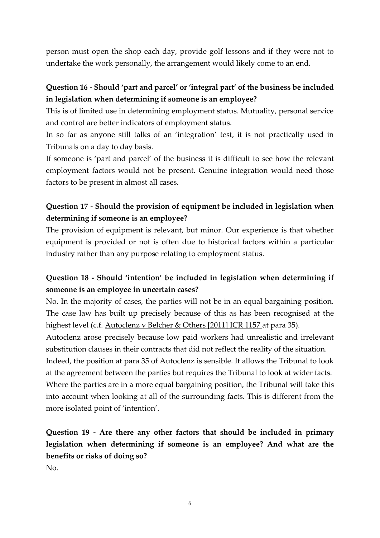person must open the shop each day, provide golf lessons and if they were not to undertake the work personally, the arrangement would likely come to an end.

#### **Question 16 - Should 'part and parcel' or 'integral part' of the business be included in legislation when determining if someone is an employee?**

This is of limited use in determining employment status. Mutuality, personal service and control are better indicators of employment status.

In so far as anyone still talks of an 'integration' test, it is not practically used in Tribunals on a day to day basis.

If someone is 'part and parcel' of the business it is difficult to see how the relevant employment factors would not be present. Genuine integration would need those factors to be present in almost all cases.

### **Question 17 - Should the provision of equipment be included in legislation when determining if someone is an employee?**

The provision of equipment is relevant, but minor. Our experience is that whether equipment is provided or not is often due to historical factors within a particular industry rather than any purpose relating to employment status.

#### **Question 18 - Should 'intention' be included in legislation when determining if someone is an employee in uncertain cases?**

No. In the majority of cases, the parties will not be in an equal bargaining position. The case law has built up precisely because of this as has been recognised at the highest level (c.f. Autoclenz v Belcher & Others [2011] ICR 1157 at para 35).

Autoclenz arose precisely because low paid workers had unrealistic and irrelevant substitution clauses in their contracts that did not reflect the reality of the situation.

Indeed, the position at para 35 of Autoclenz is sensible. It allows the Tribunal to look at the agreement between the parties but requires the Tribunal to look at wider facts. Where the parties are in a more equal bargaining position, the Tribunal will take this into account when looking at all of the surrounding facts. This is different from the more isolated point of 'intention'.

**Question 19 - Are there any other factors that should be included in primary legislation when determining if someone is an employee? And what are the benefits or risks of doing so?**

No.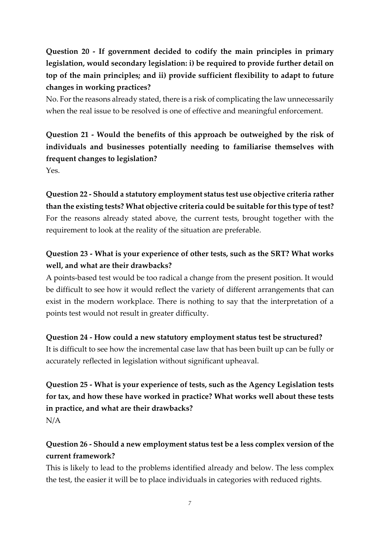**Question 20 - If government decided to codify the main principles in primary legislation, would secondary legislation: i) be required to provide further detail on top of the main principles; and ii) provide sufficient flexibility to adapt to future changes in working practices?** 

No. For the reasons already stated, there is a risk of complicating the law unnecessarily when the real issue to be resolved is one of effective and meaningful enforcement.

# **Question 21 - Would the benefits of this approach be outweighed by the risk of individuals and businesses potentially needing to familiarise themselves with frequent changes to legislation?**

Yes.

**Question 22 - Should a statutory employment status test use objective criteria rather than the existing tests? What objective criteria could be suitable for this type of test?** For the reasons already stated above, the current tests, brought together with the requirement to look at the reality of the situation are preferable.

# **Question 23 - What is your experience of other tests, such as the SRT? What works well, and what are their drawbacks?**

A points-based test would be too radical a change from the present position. It would be difficult to see how it would reflect the variety of different arrangements that can exist in the modern workplace. There is nothing to say that the interpretation of a points test would not result in greater difficulty.

#### **Question 24 - How could a new statutory employment status test be structured?**

It is difficult to see how the incremental case law that has been built up can be fully or accurately reflected in legislation without significant upheaval.

# **Question 25 - What is your experience of tests, such as the Agency Legislation tests for tax, and how these have worked in practice? What works well about these tests in practice, and what are their drawbacks?**  N/A

# **Question 26 - Should a new employment status test be a less complex version of the current framework?**

This is likely to lead to the problems identified already and below. The less complex the test, the easier it will be to place individuals in categories with reduced rights.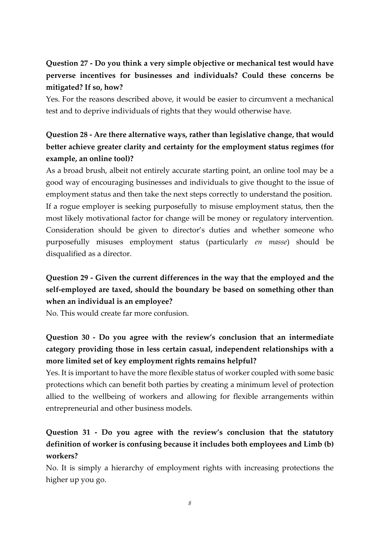# **Question 27 - Do you think a very simple objective or mechanical test would have perverse incentives for businesses and individuals? Could these concerns be mitigated? If so, how?**

Yes. For the reasons described above, it would be easier to circumvent a mechanical test and to deprive individuals of rights that they would otherwise have.

# **Question 28 - Are there alternative ways, rather than legislative change, that would better achieve greater clarity and certainty for the employment status regimes (for example, an online tool)?**

As a broad brush, albeit not entirely accurate starting point, an online tool may be a good way of encouraging businesses and individuals to give thought to the issue of employment status and then take the next steps correctly to understand the position. If a rogue employer is seeking purposefully to misuse employment status, then the most likely motivational factor for change will be money or regulatory intervention. Consideration should be given to director's duties and whether someone who purposefully misuses employment status (particularly *en masse*) should be disqualified as a director.

# **Question 29 - Given the current differences in the way that the employed and the self-employed are taxed, should the boundary be based on something other than when an individual is an employee?**

No. This would create far more confusion.

# **Question 30 - Do you agree with the review's conclusion that an intermediate category providing those in less certain casual, independent relationships with a more limited set of key employment rights remains helpful?**

Yes. It is important to have the more flexible status of worker coupled with some basic protections which can benefit both parties by creating a minimum level of protection allied to the wellbeing of workers and allowing for flexible arrangements within entrepreneurial and other business models.

# **Question 31 - Do you agree with the review's conclusion that the statutory definition of worker is confusing because it includes both employees and Limb (b) workers?**

No. It is simply a hierarchy of employment rights with increasing protections the higher up you go.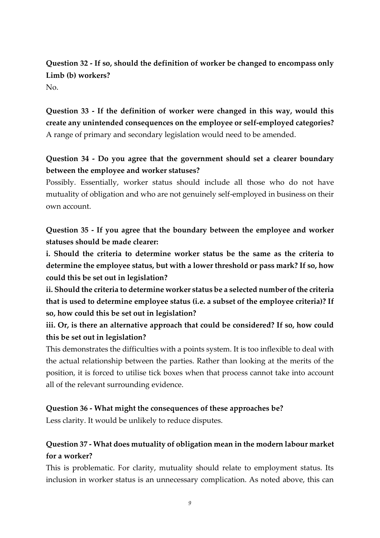# **Question 32 - If so, should the definition of worker be changed to encompass only Limb (b) workers?**

 $N_{\Omega}$ 

**Question 33 - If the definition of worker were changed in this way, would this create any unintended consequences on the employee or self-employed categories?** A range of primary and secondary legislation would need to be amended.

## **Question 34 - Do you agree that the government should set a clearer boundary between the employee and worker statuses?**

Possibly. Essentially, worker status should include all those who do not have mutuality of obligation and who are not genuinely self-employed in business on their own account.

**Question 35 - If you agree that the boundary between the employee and worker statuses should be made clearer:** 

**i. Should the criteria to determine worker status be the same as the criteria to determine the employee status, but with a lower threshold or pass mark? If so, how could this be set out in legislation?** 

**ii. Should the criteria to determine worker status be a selected number of the criteria that is used to determine employee status (i.e. a subset of the employee criteria)? If so, how could this be set out in legislation?** 

**iii. Or, is there an alternative approach that could be considered? If so, how could this be set out in legislation?** 

This demonstrates the difficulties with a points system. It is too inflexible to deal with the actual relationship between the parties. Rather than looking at the merits of the position, it is forced to utilise tick boxes when that process cannot take into account all of the relevant surrounding evidence.

#### **Question 36 - What might the consequences of these approaches be?**

Less clarity. It would be unlikely to reduce disputes.

## **Question 37 - What does mutuality of obligation mean in the modern labour market for a worker?**

This is problematic. For clarity, mutuality should relate to employment status. Its inclusion in worker status is an unnecessary complication. As noted above, this can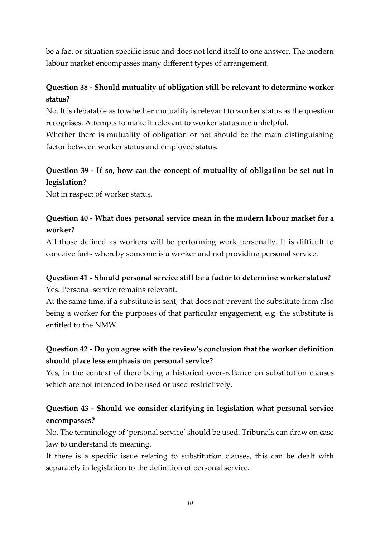be a fact or situation specific issue and does not lend itself to one answer. The modern labour market encompasses many different types of arrangement.

## **Question 38 - Should mutuality of obligation still be relevant to determine worker status?**

No. It is debatable as to whether mutuality is relevant to worker status as the question recognises. Attempts to make it relevant to worker status are unhelpful.

Whether there is mutuality of obligation or not should be the main distinguishing factor between worker status and employee status.

## **Question 39 - If so, how can the concept of mutuality of obligation be set out in legislation?**

Not in respect of worker status.

#### **Question 40 - What does personal service mean in the modern labour market for a worker?**

All those defined as workers will be performing work personally. It is difficult to conceive facts whereby someone is a worker and not providing personal service.

# **Question 41 - Should personal service still be a factor to determine worker status?**

Yes. Personal service remains relevant.

At the same time, if a substitute is sent, that does not prevent the substitute from also being a worker for the purposes of that particular engagement, e.g. the substitute is entitled to the NMW.

#### **Question 42 - Do you agree with the review's conclusion that the worker definition should place less emphasis on personal service?**

Yes, in the context of there being a historical over-reliance on substitution clauses which are not intended to be used or used restrictively.

## **Question 43 - Should we consider clarifying in legislation what personal service encompasses?**

No. The terminology of 'personal service' should be used. Tribunals can draw on case law to understand its meaning.

If there is a specific issue relating to substitution clauses, this can be dealt with separately in legislation to the definition of personal service.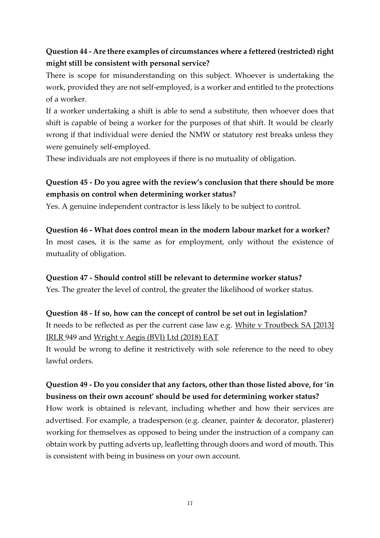## **Question 44 - Are there examples of circumstances where a fettered (restricted) right might still be consistent with personal service?**

There is scope for misunderstanding on this subject. Whoever is undertaking the work, provided they are not self-employed, is a worker and entitled to the protections of a worker.

If a worker undertaking a shift is able to send a substitute, then whoever does that shift is capable of being a worker for the purposes of that shift. It would be clearly wrong if that individual were denied the NMW or statutory rest breaks unless they were genuinely self-employed.

These individuals are not employees if there is no mutuality of obligation.

### **Question 45 - Do you agree with the review's conclusion that there should be more emphasis on control when determining worker status?**

Yes. A genuine independent contractor is less likely to be subject to control.

#### **Question 46 - What does control mean in the modern labour market for a worker?**

In most cases, it is the same as for employment, only without the existence of mutuality of obligation.

#### **Question 47 - Should control still be relevant to determine worker status?**

Yes. The greater the level of control, the greater the likelihood of worker status.

#### **Question 48 - If so, how can the concept of control be set out in legislation?**

It needs to be reflected as per the current case law e.g. White v Troutbeck SA [2013] IRLR 949 and Wright v Aegis (BVI) Ltd (2018) EAT

It would be wrong to define it restrictively with sole reference to the need to obey lawful orders.

# **Question 49 - Do you consider that any factors, other than those listed above, for 'in business on their own account' should be used for determining worker status?**

How work is obtained is relevant, including whether and how their services are advertised. For example, a tradesperson (e.g. cleaner, painter & decorator, plasterer) working for themselves as opposed to being under the instruction of a company can obtain work by putting adverts up, leafletting through doors and word of mouth. This is consistent with being in business on your own account.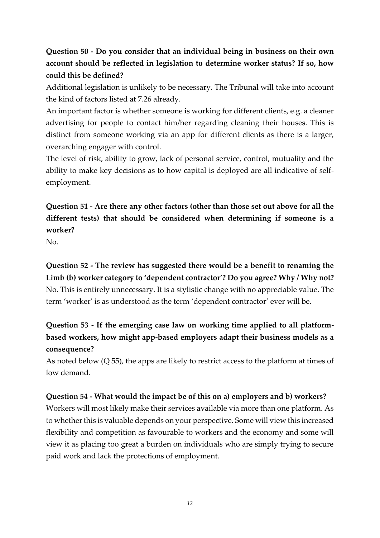# **Question 50 - Do you consider that an individual being in business on their own account should be reflected in legislation to determine worker status? If so, how could this be defined?**

Additional legislation is unlikely to be necessary. The Tribunal will take into account the kind of factors listed at 7.26 already.

An important factor is whether someone is working for different clients, e.g. a cleaner advertising for people to contact him/her regarding cleaning their houses. This is distinct from someone working via an app for different clients as there is a larger, overarching engager with control.

The level of risk, ability to grow, lack of personal service, control, mutuality and the ability to make key decisions as to how capital is deployed are all indicative of selfemployment.

# **Question 51 - Are there any other factors (other than those set out above for all the different tests) that should be considered when determining if someone is a worker?**

No.

**Question 52 - The review has suggested there would be a benefit to renaming the Limb (b) worker category to 'dependent contractor'? Do you agree? Why / Why not?** No. This is entirely unnecessary. It is a stylistic change with no appreciable value. The term 'worker' is as understood as the term 'dependent contractor' ever will be.

# **Question 53 - If the emerging case law on working time applied to all platformbased workers, how might app-based employers adapt their business models as a consequence?**

As noted below (Q 55), the apps are likely to restrict access to the platform at times of low demand.

#### **Question 54 - What would the impact be of this on a) employers and b) workers?**

Workers will most likely make their services available via more than one platform. As to whether this is valuable depends on your perspective. Some will view this increased flexibility and competition as favourable to workers and the economy and some will view it as placing too great a burden on individuals who are simply trying to secure paid work and lack the protections of employment.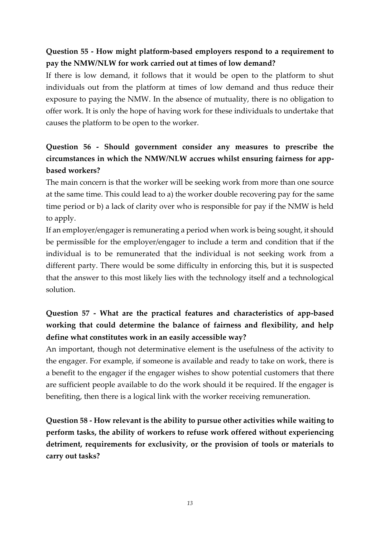## **Question 55 - How might platform-based employers respond to a requirement to pay the NMW/NLW for work carried out at times of low demand?**

If there is low demand, it follows that it would be open to the platform to shut individuals out from the platform at times of low demand and thus reduce their exposure to paying the NMW. In the absence of mutuality, there is no obligation to offer work. It is only the hope of having work for these individuals to undertake that causes the platform to be open to the worker.

# **Question 56 - Should government consider any measures to prescribe the circumstances in which the NMW/NLW accrues whilst ensuring fairness for appbased workers?**

The main concern is that the worker will be seeking work from more than one source at the same time. This could lead to a) the worker double recovering pay for the same time period or b) a lack of clarity over who is responsible for pay if the NMW is held to apply.

If an employer/engager is remunerating a period when work is being sought, it should be permissible for the employer/engager to include a term and condition that if the individual is to be remunerated that the individual is not seeking work from a different party. There would be some difficulty in enforcing this, but it is suspected that the answer to this most likely lies with the technology itself and a technological solution.

# **Question 57 - What are the practical features and characteristics of app-based working that could determine the balance of fairness and flexibility, and help define what constitutes work in an easily accessible way?**

An important, though not determinative element is the usefulness of the activity to the engager. For example, if someone is available and ready to take on work, there is a benefit to the engager if the engager wishes to show potential customers that there are sufficient people available to do the work should it be required. If the engager is benefiting, then there is a logical link with the worker receiving remuneration.

**Question 58 - How relevant is the ability to pursue other activities while waiting to perform tasks, the ability of workers to refuse work offered without experiencing detriment, requirements for exclusivity, or the provision of tools or materials to carry out tasks?**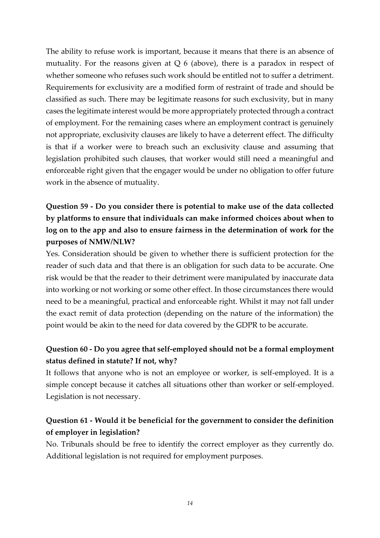The ability to refuse work is important, because it means that there is an absence of mutuality. For the reasons given at  $Q_6$  (above), there is a paradox in respect of whether someone who refuses such work should be entitled not to suffer a detriment. Requirements for exclusivity are a modified form of restraint of trade and should be classified as such. There may be legitimate reasons for such exclusivity, but in many cases the legitimate interest would be more appropriately protected through a contract of employment. For the remaining cases where an employment contract is genuinely not appropriate, exclusivity clauses are likely to have a deterrent effect. The difficulty is that if a worker were to breach such an exclusivity clause and assuming that legislation prohibited such clauses, that worker would still need a meaningful and enforceable right given that the engager would be under no obligation to offer future work in the absence of mutuality.

# **Question 59 - Do you consider there is potential to make use of the data collected by platforms to ensure that individuals can make informed choices about when to log on to the app and also to ensure fairness in the determination of work for the purposes of NMW/NLW?**

Yes. Consideration should be given to whether there is sufficient protection for the reader of such data and that there is an obligation for such data to be accurate. One risk would be that the reader to their detriment were manipulated by inaccurate data into working or not working or some other effect. In those circumstances there would need to be a meaningful, practical and enforceable right. Whilst it may not fall under the exact remit of data protection (depending on the nature of the information) the point would be akin to the need for data covered by the GDPR to be accurate.

#### **Question 60 - Do you agree that self-employed should not be a formal employment status defined in statute? If not, why?**

It follows that anyone who is not an employee or worker, is self-employed. It is a simple concept because it catches all situations other than worker or self-employed. Legislation is not necessary.

#### **Question 61 - Would it be beneficial for the government to consider the definition of employer in legislation?**

No. Tribunals should be free to identify the correct employer as they currently do. Additional legislation is not required for employment purposes.